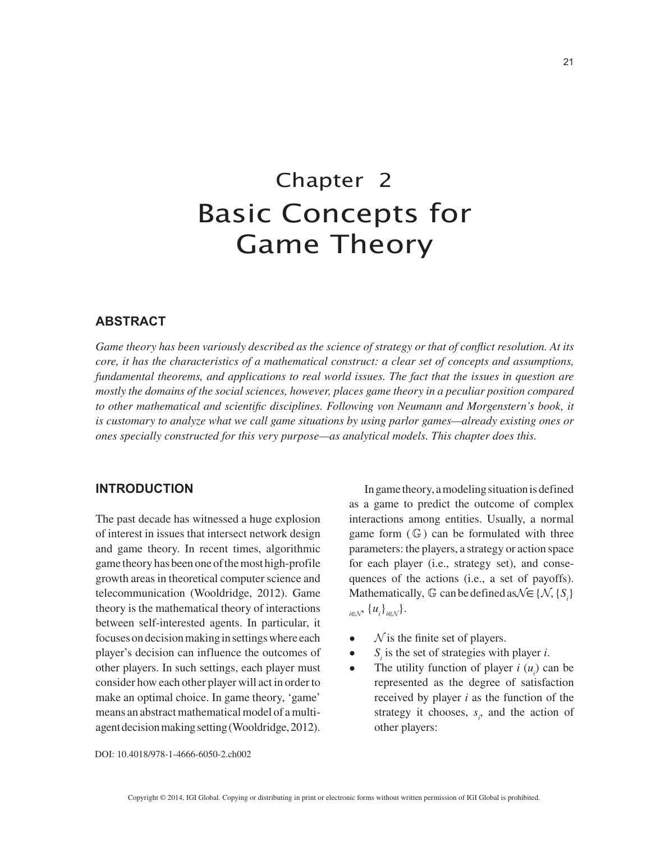# Chapter 2 Basic Concepts for Game Theory

## **ABSTRACT**

*Game theory has been variously described as the science of strategy or that of conflict resolution. At its core, it has the characteristics of a mathematical construct: a clear set of concepts and assumptions, fundamental theorems, and applications to real world issues. The fact that the issues in question are mostly the domains of the social sciences, however, places game theory in a peculiar position compared to other mathematical and scientific disciplines. Following von Neumann and Morgenstern's book, it is customary to analyze what we call game situations by using parlor games—already existing ones or ones specially constructed for this very purpose—as analytical models. This chapter does this.*

## **INTRODUCTION**

The past decade has witnessed a huge explosion of interest in issues that intersect network design and game theory. In recent times, algorithmic game theory has been one of the most high-profile growth areas in theoretical computer science and telecommunication (Wooldridge, 2012). Game theory is the mathematical theory of interactions between self-interested agents. In particular, it focuses on decision making in settings where each player's decision can influence the outcomes of other players. In such settings, each player must consider how each other player will act in order to make an optimal choice. In game theory, 'game' means an abstract mathematical model of a multiagent decision making setting (Wooldridge, 2012).

In game theory, a modeling situation is defined as a game to predict the outcome of complex interactions among entities. Usually, a normal game form  $(\mathbb{G})$  can be formulated with three parameters: the players, a strategy or action space for each player (i.e., strategy set), and consequences of the actions (i.e., a set of payoffs). Mathematically,  $\mathbb{G}$  can be defined as  $\mathcal{N} \in \{ \mathcal{N}, \{ S_i \} \}$  $_{i\in\mathcal{N}}$ <sup>*{u<sub>i</sub>}<sub>i∈</sub>* $\}$ .</sup>

- $\mathcal N$  is the finite set of players.
- $S_i$  is the set of strategies with player *i*.
- The utility function of player  $i(u_i)$  can be represented as the degree of satisfaction received by player *i* as the function of the strategy it chooses,  $s_i$ , and the action of other players: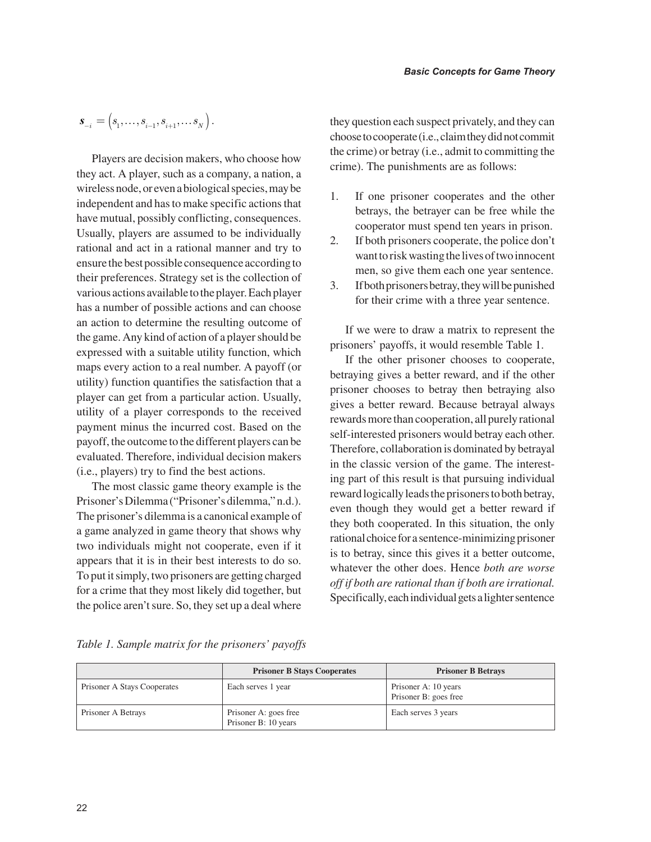$$
\mathbf{s}_{-i} = (s_{1}, \ldots, s_{i-1}, s_{i+1}, \ldots s_{N}).
$$

Players are decision makers, who choose how they act. A player, such as a company, a nation, a wireless node, or even a biological species, may be independent and has to make specific actions that have mutual, possibly conflicting, consequences. Usually, players are assumed to be individually rational and act in a rational manner and try to ensure the best possible consequence according to their preferences. Strategy set is the collection of various actions available to the player. Each player has a number of possible actions and can choose an action to determine the resulting outcome of the game. Any kind of action of a player should be expressed with a suitable utility function, which maps every action to a real number. A payoff (or utility) function quantifies the satisfaction that a player can get from a particular action. Usually, utility of a player corresponds to the received payment minus the incurred cost. Based on the payoff, the outcome to the different players can be evaluated. Therefore, individual decision makers (i.e., players) try to find the best actions.

The most classic game theory example is the Prisoner's Dilemma ("Prisoner's dilemma," n.d.). The prisoner's dilemma is a canonical example of a game analyzed in game theory that shows why two individuals might not cooperate, even if it appears that it is in their best interests to do so. To put it simply, two prisoners are getting charged for a crime that they most likely did together, but the police aren't sure. So, they set up a deal where they question each suspect privately, and they can choose to cooperate (i.e., claim they did not commit the crime) or betray (i.e., admit to committing the crime). The punishments are as follows:

- 1. If one prisoner cooperates and the other betrays, the betrayer can be free while the cooperator must spend ten years in prison.
- 2. If both prisoners cooperate, the police don't want to risk wasting the lives of two innocent men, so give them each one year sentence.
- 3. If both prisoners betray, they will be punished for their crime with a three year sentence.

If we were to draw a matrix to represent the prisoners' payoffs, it would resemble Table 1.

If the other prisoner chooses to cooperate, betraying gives a better reward, and if the other prisoner chooses to betray then betraying also gives a better reward. Because betrayal always rewards more than cooperation, all purely rational self-interested prisoners would betray each other. Therefore, collaboration is dominated by betrayal in the classic version of the game. The interesting part of this result is that pursuing individual reward logically leads the prisoners to both betray, even though they would get a better reward if they both cooperated. In this situation, the only rational choice for a sentence-minimizing prisoner is to betray, since this gives it a better outcome, whatever the other does. Hence *both are worse off if both are rational than if both are irrational.* Specifically, each individual gets a lighter sentence

*Table 1. Sample matrix for the prisoners' payoffs* 

|                             | <b>Prisoner B Stays Cooperates</b>            | <b>Prisoner B Betrays</b>                     |
|-----------------------------|-----------------------------------------------|-----------------------------------------------|
| Prisoner A Stays Cooperates | Each serves 1 year                            | Prisoner A: 10 years<br>Prisoner B: goes free |
| Prisoner A Betrays          | Prisoner A: goes free<br>Prisoner B: 10 years | Each serves 3 years                           |